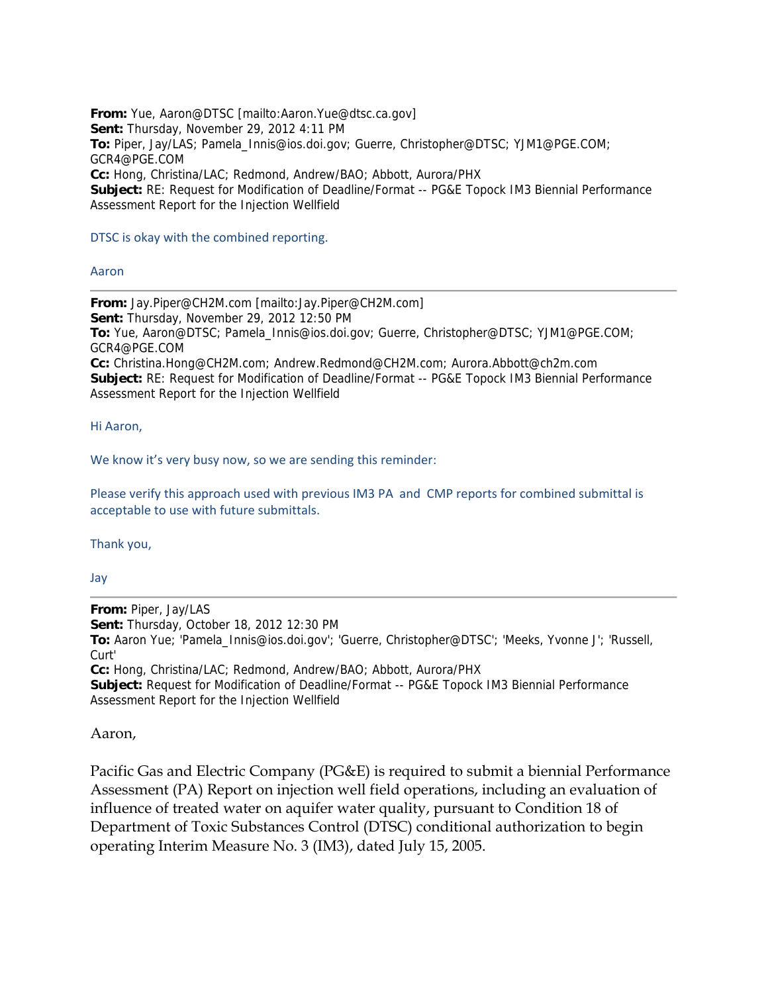**From:** Yue, Aaron@DTSC [mailto:Aaron.Yue@dtsc.ca.gov] **Sent:** Thursday, November 29, 2012 4:11 PM **To:** Piper, Jay/LAS; Pamela\_Innis@ios.doi.gov; Guerre, Christopher@DTSC; YJM1@PGE.COM; GCR4@PGE.COM **Cc:** Hong, Christina/LAC; Redmond, Andrew/BAO; Abbott, Aurora/PHX **Subject:** RE: Request for Modification of Deadline/Format -- PG&E Topock IM3 Biennial Performance Assessment Report for the Injection Wellfield

## DTSC is okay with the combined reporting.

## Aaron

**From:** Jay.Piper@CH2M.com [mailto:Jay.Piper@CH2M.com] **Sent:** Thursday, November 29, 2012 12:50 PM **To:** Yue, Aaron@DTSC; Pamela\_Innis@ios.doi.gov; Guerre, Christopher@DTSC; YJM1@PGE.COM; GCR4@PGE.COM **Cc:** Christina.Hong@CH2M.com; Andrew.Redmond@CH2M.com; Aurora.Abbott@ch2m.com **Subject:** RE: Request for Modification of Deadline/Format -- PG&E Topock IM3 Biennial Performance Assessment Report for the Injection Wellfield

Hi Aaron,

We know it's very busy now, so we are sending this reminder:

Please verify this approach used with previous IM3 PA and CMP reports for combined submittal is acceptable to use with future submittals.

Thank you,

Jay

**From:** Piper, Jay/LAS **Sent:** Thursday, October 18, 2012 12:30 PM **To:** Aaron Yue; 'Pamela\_Innis@ios.doi.gov'; 'Guerre, Christopher@DTSC'; 'Meeks, Yvonne J'; 'Russell, Curt' **Cc:** Hong, Christina/LAC; Redmond, Andrew/BAO; Abbott, Aurora/PHX **Subject:** Request for Modification of Deadline/Format -- PG&E Topock IM3 Biennial Performance Assessment Report for the Injection Wellfield

Aaron,

Pacific Gas and Electric Company (PG&E) is required to submit a biennial Performance Assessment (PA) Report on injection well field operations, including an evaluation of influence of treated water on aquifer water quality, pursuant to Condition 18 of Department of Toxic Substances Control (DTSC) conditional authorization to begin operating Interim Measure No. 3 (IM3), dated July 15, 2005.